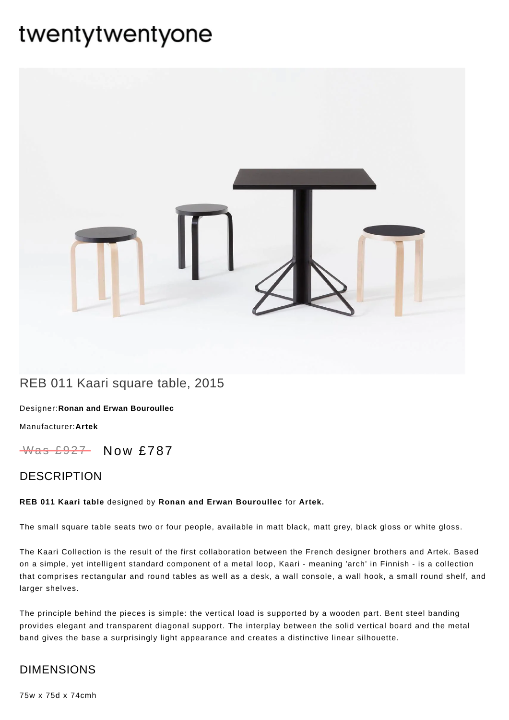# twentytwentyone



# REB 011 Kaari square table, 2015

Designer:**Ronan and Erwan [Bouroullec](https://www.twentytwentyone.com/collections/designers-ronan-and-erwan-bouroullec)**

[Manufacturer:](https://www.twentytwentyone.com/collections/manufacturers-artek)**Artek**

Was £927 Now £787

### DESCRIPTION

#### **REB 011 Kaari table** designed by **Ronan and Erwan [Bouroullec](http://twentytwentyone.com/designer/ronan-erwan-bouroullec)** for **[Artek](http://twentytwentyone.com/manufacturer/artek).**

The small square table seats two or four people, available in matt black, matt grey, black gloss or white gloss.

The Kaari Collection is the result of the first collaboration between the French designer brothers and Artek. Based on a simple, yet intelligent standard component of a metal loop, Kaari - meaning 'arch' in Finnish - is a collection that comprises rectangular and round tables as well as a desk, a wall console, a wall hook, a small round shelf, and larger shelves.

The principle behind the pieces is simple: the vertical load is supported by a wooden part. Bent steel banding provides elegant and transparent diagonal support. The interplay between the solid vertical board and the metal band gives the base a surprisingly light appearance and creates a distinctive linear silhouette.

## DIMENSIONS

75w x 75d x 74cmh